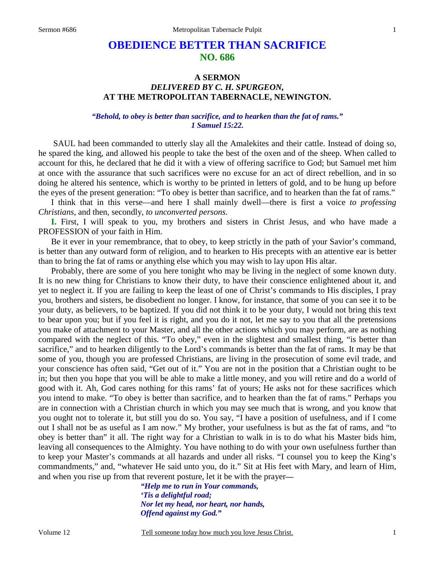# **OBEDIENCE BETTER THAN SACRIFICE NO. 686**

## **A SERMON** *DELIVERED BY C. H. SPURGEON,*  **AT THE METROPOLITAN TABERNACLE, NEWINGTON.**

#### *"Behold, to obey is better than sacrifice, and to hearken than the fat of rams." 1 Samuel 15:22.*

SAUL had been commanded to utterly slay all the Amalekites and their cattle. Instead of doing so, he spared the king, and allowed his people to take the best of the oxen and of the sheep. When called to account for this, he declared that he did it with a view of offering sacrifice to God; but Samuel met him at once with the assurance that such sacrifices were no excuse for an act of direct rebellion, and in so doing he altered his sentence, which is worthy to be printed in letters of gold, and to be hung up before the eyes of the present generation: "To obey is better than sacrifice, and to hearken than the fat of rams."

 I think that in this verse—and here I shall mainly dwell—there is first a voice *to professing Christians,* and then, secondly, *to unconverted persons.*

**I.** First, I will speak to you, my brothers and sisters in Christ Jesus, and who have made a PROFESSION of your faith in Him.

 Be it ever in your remembrance, that to obey, to keep strictly in the path of your Savior's command, is better than any outward form of religion, and to hearken to His precepts with an attentive ear is better than to bring the fat of rams or anything else which you may wish to lay upon His altar.

 Probably, there are some of you here tonight who may be living in the neglect of some known duty. It is no new thing for Christians to know their duty, to have their conscience enlightened about it, and yet to neglect it. If you are failing to keep the least of one of Christ's commands to His disciples, I pray you, brothers and sisters, be disobedient no longer. I know, for instance, that some of you can see it to be your duty, as believers, to be baptized. If you did not think it to be your duty, I would not bring this text to bear upon you; but if you feel it is right, and you do it not, let me say to you that all the pretensions you make of attachment to your Master, and all the other actions which you may perform, are as nothing compared with the neglect of this. "To obey," even in the slightest and smallest thing, "is better than sacrifice," and to hearken diligently to the Lord's commands is better than the fat of rams. It may be that some of you, though you are professed Christians, are living in the prosecution of some evil trade, and your conscience has often said, "Get out of it." You are not in the position that a Christian ought to be in; but then you hope that you will be able to make a little money, and you will retire and do a world of good with it. Ah, God cares nothing for this rams' fat of yours; He asks not for these sacrifices which you intend to make. "To obey is better than sacrifice, and to hearken than the fat of rams." Perhaps you are in connection with a Christian church in which you may see much that is wrong, and you know that you ought not to tolerate it, but still you do so. You say, "I have a position of usefulness, and if I come out I shall not be as useful as I am now." My brother, your usefulness is but as the fat of rams, and "to obey is better than" it all. The right way for a Christian to walk in is to do what his Master bids him, leaving all consequences to the Almighty. You have nothing to do with your own usefulness further than to keep your Master's commands at all hazards and under all risks. "I counsel you to keep the King's commandments," and, "whatever He said unto you, do it." Sit at His feet with Mary, and learn of Him, and when you rise up from that reverent posture, let it be with the prayer*—* 

> *"Help me to run in Your commands, 'Tis a delightful road; Nor let my head, nor heart, nor hands, Offend against my God."*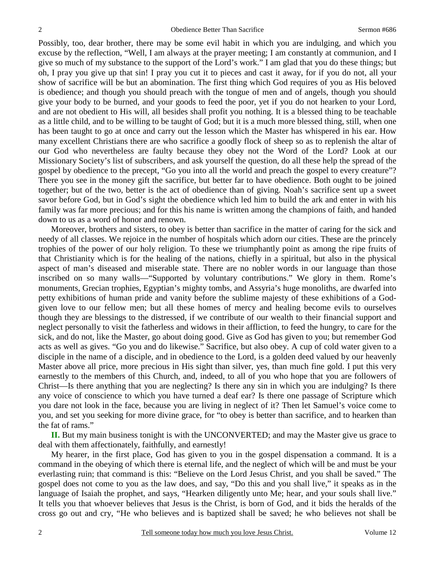Possibly, too, dear brother, there may be some evil habit in which you are indulging, and which you excuse by the reflection, "Well, I am always at the prayer meeting; I am constantly at communion, and I give so much of my substance to the support of the Lord's work." I am glad that you do these things; but oh, I pray you give up that sin! I pray you cut it to pieces and cast it away, for if you do not, all your show of sacrifice will be but an abomination. The first thing which God requires of you as His beloved is obedience; and though you should preach with the tongue of men and of angels, though you should give your body to be burned, and your goods to feed the poor, yet if you do not hearken to your Lord, and are not obedient to His will, all besides shall profit you nothing. It is a blessed thing to be teachable as a little child, and to be willing to be taught of God; but it is a much more blessed thing, still, when one has been taught to go at once and carry out the lesson which the Master has whispered in his ear. How many excellent Christians there are who sacrifice a goodly flock of sheep so as to replenish the altar of our God who nevertheless are faulty because they obey not the Word of the Lord? Look at our Missionary Society's list of subscribers, and ask yourself the question, do all these help the spread of the gospel by obedience to the precept, "Go you into all the world and preach the gospel to every creature"? There you see in the money gift the sacrifice, but better far to have obedience. Both ought to be joined together; but of the two, better is the act of obedience than of giving. Noah's sacrifice sent up a sweet savor before God, but in God's sight the obedience which led him to build the ark and enter in with his family was far more precious; and for this his name is written among the champions of faith, and handed down to us as a word of honor and renown.

 Moreover, brothers and sisters, to obey is better than sacrifice in the matter of caring for the sick and needy of all classes. We rejoice in the number of hospitals which adorn our cities. These are the princely trophies of the power of our holy religion. To these we triumphantly point as among the ripe fruits of that Christianity which is for the healing of the nations, chiefly in a spiritual, but also in the physical aspect of man's diseased and miserable state. There are no nobler words in our language than those inscribed on so many walls—"Supported by voluntary contributions." We glory in them. Rome's monuments, Grecian trophies, Egyptian's mighty tombs, and Assyria's huge monoliths, are dwarfed into petty exhibitions of human pride and vanity before the sublime majesty of these exhibitions of a Godgiven love to our fellow men; but all these homes of mercy and healing become evils to ourselves though they are blessings to the distressed, if we contribute of our wealth to their financial support and neglect personally to visit the fatherless and widows in their affliction, to feed the hungry, to care for the sick, and do not, like the Master, go about doing good. Give as God has given to you; but remember God acts as well as gives. "Go you and do likewise." Sacrifice, but also obey. A cup of cold water given to a disciple in the name of a disciple, and in obedience to the Lord, is a golden deed valued by our heavenly Master above all price, more precious in His sight than silver, yes, than much fine gold. I put this very earnestly to the members of this Church, and, indeed, to all of you who hope that you are followers of Christ—Is there anything that you are neglecting? Is there any sin in which you are indulging? Is there any voice of conscience to which you have turned a deaf ear? Is there one passage of Scripture which you dare not look in the face, because you are living in neglect of it? Then let Samuel's voice come to you, and set you seeking for more divine grace, for "to obey is better than sacrifice, and to hearken than the fat of rams."

**II.** But my main business tonight is with the UNCONVERTED; and may the Master give us grace to deal with them affectionately, faithfully, and earnestly!

 My hearer, in the first place, God has given to you in the gospel dispensation a command. It is a command in the obeying of which there is eternal life, and the neglect of which will be and must be your everlasting ruin; that command is this: "Believe on the Lord Jesus Christ, and you shall be saved." The gospel does not come to you as the law does, and say, "Do this and you shall live," it speaks as in the language of Isaiah the prophet, and says, "Hearken diligently unto Me; hear, and your souls shall live." It tells you that whoever believes that Jesus is the Christ, is born of God, and it bids the heralds of the cross go out and cry, "He who believes and is baptized shall be saved; he who believes not shall be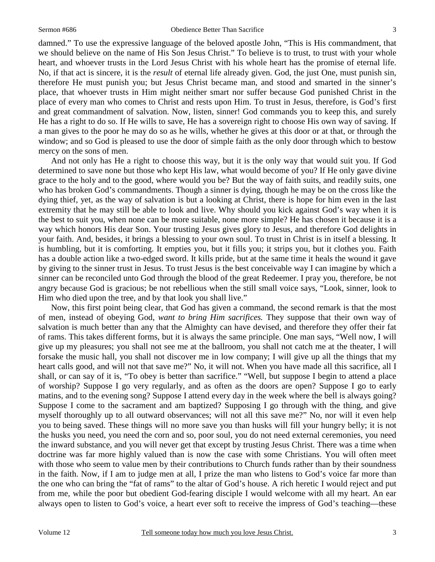3

damned." To use the expressive language of the beloved apostle John, "This is His commandment, that we should believe on the name of His Son Jesus Christ." To believe is to trust, to trust with your whole heart, and whoever trusts in the Lord Jesus Christ with his whole heart has the promise of eternal life. No, if that act is sincere, it is the *result* of eternal life already given. God, the just One, must punish sin, therefore He must punish you; but Jesus Christ became man, and stood and smarted in the sinner's place, that whoever trusts in Him might neither smart nor suffer because God punished Christ in the place of every man who comes to Christ and rests upon Him. To trust in Jesus, therefore, is God's first and great commandment of salvation. Now, listen, sinner! God commands you to keep this, and surely He has a right to do so. If He wills to save, He has a sovereign right to choose His own way of saving. If a man gives to the poor he may do so as he wills, whether he gives at this door or at that, or through the window; and so God is pleased to use the door of simple faith as the only door through which to bestow mercy on the sons of men.

 And not only has He a right to choose this way, but it is the only way that would suit you. If God determined to save none but those who kept His law, what would become of you? If He only gave divine grace to the holy and to the good, where would you be? But the way of faith suits, and readily suits, one who has broken God's commandments. Though a sinner is dying, though he may be on the cross like the dying thief, yet, as the way of salvation is but a looking at Christ, there is hope for him even in the last extremity that he may still be able to look and live. Why should you kick against God's way when it is the best to suit you, when none can be more suitable, none more simple? He has chosen it because it is a way which honors His dear Son. Your trusting Jesus gives glory to Jesus, and therefore God delights in your faith. And, besides, it brings a blessing to your own soul. To trust in Christ is in itself a blessing. It is humbling, but it is comforting. It empties you, but it fills you; it strips you, but it clothes you. Faith has a double action like a two-edged sword. It kills pride, but at the same time it heals the wound it gave by giving to the sinner trust in Jesus. To trust Jesus is the best conceivable way I can imagine by which a sinner can be reconciled unto God through the blood of the great Redeemer. I pray you, therefore, be not angry because God is gracious; be not rebellious when the still small voice says, "Look, sinner, look to Him who died upon the tree, and by that look you shall live."

 Now, this first point being clear, that God has given a command, the second remark is that the most of men, instead of obeying God, *want to bring Him sacrifices.* They suppose that their own way of salvation is much better than any that the Almighty can have devised, and therefore they offer their fat of rams. This takes different forms, but it is always the same principle. One man says, "Well now, I will give up my pleasures; you shall not see me at the ballroom, you shall not catch me at the theater, I will forsake the music hall, you shall not discover me in low company; I will give up all the things that my heart calls good, and will not that save me?" No, it will not. When you have made all this sacrifice, all I shall, or can say of it is, "To obey is better than sacrifice." "Well, but suppose I begin to attend a place of worship? Suppose I go very regularly, and as often as the doors are open? Suppose I go to early matins, and to the evening song? Suppose I attend every day in the week where the bell is always going? Suppose I come to the sacrament and am baptized? Supposing I go through with the thing, and give myself thoroughly up to all outward observances; will not all this save me?" No, nor will it even help you to being saved. These things will no more save you than husks will fill your hungry belly; it is not the husks you need, you need the corn and so, poor soul, you do not need external ceremonies, you need the inward substance, and you will never get that except by trusting Jesus Christ. There was a time when doctrine was far more highly valued than is now the case with some Christians. You will often meet with those who seem to value men by their contributions to Church funds rather than by their soundness in the faith. Now, if I am to judge men at all, I prize the man who listens to God's voice far more than the one who can bring the "fat of rams" to the altar of God's house. A rich heretic I would reject and put from me, while the poor but obedient God-fearing disciple I would welcome with all my heart. An ear always open to listen to God's voice, a heart ever soft to receive the impress of God's teaching—these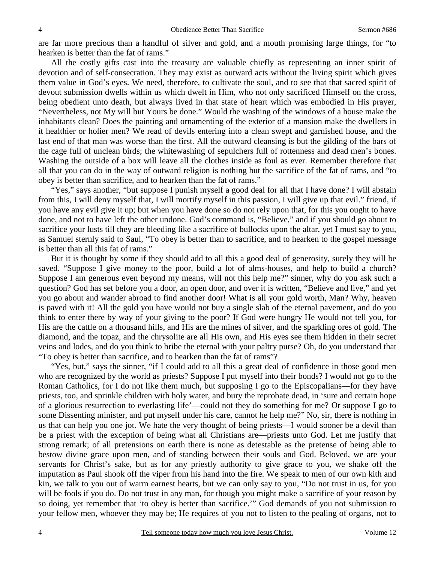are far more precious than a handful of silver and gold, and a mouth promising large things, for "to hearken is better than the fat of rams."

 All the costly gifts cast into the treasury are valuable chiefly as representing an inner spirit of devotion and of self-consecration. They may exist as outward acts without the living spirit which gives them value in God's eyes. We need, therefore, to cultivate the soul, and to see that that sacred spirit of devout submission dwells within us which dwelt in Him, who not only sacrificed Himself on the cross, being obedient unto death, but always lived in that state of heart which was embodied in His prayer, "Nevertheless, not My will but Yours be done." Would the washing of the windows of a house make the inhabitants clean? Does the painting and ornamenting of the exterior of a mansion make the dwellers in it healthier or holier men? We read of devils entering into a clean swept and garnished house, and the last end of that man was worse than the first. All the outward cleansing is but the gilding of the bars of the cage full of unclean birds; the whitewashing of sepulchers full of rottenness and dead men's bones. Washing the outside of a box will leave all the clothes inside as foul as ever. Remember therefore that all that you can do in the way of outward religion is nothing but the sacrifice of the fat of rams, and "to obey is better than sacrifice, and to hearken than the fat of rams."

"Yes," says another, "but suppose I punish myself a good deal for all that I have done? I will abstain from this, I will deny myself that, I will mortify myself in this passion, I will give up that evil." friend, if you have any evil give it up; but when you have done so do not rely upon that, for this you ought to have done, and not to have left the other undone. God's command is, "Believe," and if you should go about to sacrifice your lusts till they are bleeding like a sacrifice of bullocks upon the altar, yet I must say to you, as Samuel sternly said to Saul, "To obey is better than to sacrifice, and to hearken to the gospel message is better than all this fat of rams."

 But it is thought by some if they should add to all this a good deal of generosity, surely they will be saved. "Suppose I give money to the poor, build a lot of alms-houses, and help to build a church? Suppose I am generous even beyond my means, will not this help me?" sinner, why do you ask such a question? God has set before you a door, an open door, and over it is written, "Believe and live," and yet you go about and wander abroad to find another door! What is all your gold worth, Man? Why, heaven is paved with it! All the gold you have would not buy a single slab of the eternal pavement, and do you think to enter there by way of your giving to the poor? If God were hungry He would not tell you, for His are the cattle on a thousand hills, and His are the mines of silver, and the sparkling ores of gold. The diamond, and the topaz, and the chrysolite are all His own, and His eyes see them hidden in their secret veins and lodes, and do you think to bribe the eternal with your paltry purse? Oh, do you understand that "To obey is better than sacrifice, and to hearken than the fat of rams"?

 "Yes, but," says the sinner, "if I could add to all this a great deal of confidence in those good men who are recognized by the world as priests? Suppose I put myself into their bonds? I would not go to the Roman Catholics, for I do not like them much, but supposing I go to the Episcopalians—for they have priests, too, and sprinkle children with holy water, and bury the reprobate dead, in 'sure and certain hope of a glorious resurrection to everlasting life'—could not they do something for me? Or suppose I go to some Dissenting minister, and put myself under his care, cannot he help me?" No, sir, there is nothing in us that can help you one jot. We hate the very thought of being priests—I would sooner be a devil than be a priest with the exception of being what all Christians are—priests unto God. Let me justify that strong remark; of all pretensions on earth there is none as detestable as the pretense of being able to bestow divine grace upon men, and of standing between their souls and God. Beloved, we are your servants for Christ's sake, but as for any priestly authority to give grace to you, we shake off the imputation as Paul shook off the viper from his hand into the fire. We speak to men of our own kith and kin, we talk to you out of warm earnest hearts, but we can only say to you, "Do not trust in us, for you will be fools if you do. Do not trust in any man, for though you might make a sacrifice of your reason by so doing, yet remember that 'to obey is better than sacrifice.'" God demands of you not submission to your fellow men, whoever they may be; He requires of you not to listen to the pealing of organs, not to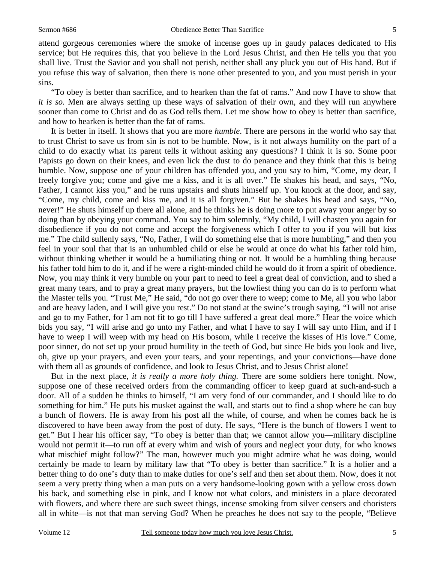attend gorgeous ceremonies where the smoke of incense goes up in gaudy palaces dedicated to His service; but He requires this, that you believe in the Lord Jesus Christ, and then He tells you that you shall live. Trust the Savior and you shall not perish, neither shall any pluck you out of His hand. But if you refuse this way of salvation, then there is none other presented to you, and you must perish in your sins.

 "To obey is better than sacrifice, and to hearken than the fat of rams." And now I have to show that *it is so.* Men are always setting up these ways of salvation of their own, and they will run anywhere sooner than come to Christ and do as God tells them. Let me show how to obey is better than sacrifice, and how to hearken is better than the fat of rams.

 It is better in itself. It shows that you are more *humble*. There are persons in the world who say that to trust Christ to save us from sin is not to be humble. Now, is it not always humility on the part of a child to do exactly what its parent tells it without asking any questions? I think it is so. Some poor Papists go down on their knees, and even lick the dust to do penance and they think that this is being humble. Now, suppose one of your children has offended you, and you say to him, "Come, my dear, I freely forgive you; come and give me a kiss, and it is all over." He shakes his head, and says, "No, Father, I cannot kiss you," and he runs upstairs and shuts himself up. You knock at the door, and say, "Come, my child, come and kiss me, and it is all forgiven." But he shakes his head and says, "No, never!" He shuts himself up there all alone, and he thinks he is doing more to put away your anger by so doing than by obeying your command. You say to him solemnly, "My child, I will chasten you again for disobedience if you do not come and accept the forgiveness which I offer to you if you will but kiss me." The child sullenly says, "No, Father, I will do something else that is more humbling," and then you feel in your soul that that is an unhumbled child or else he would at once do what his father told him, without thinking whether it would be a humiliating thing or not. It would be a humbling thing because his father told him to do it, and if he were a right-minded child he would do it from a spirit of obedience. Now, you may think it very humble on your part to need to feel a great deal of conviction, and to shed a great many tears, and to pray a great many prayers, but the lowliest thing you can do is to perform what the Master tells you. "Trust Me," He said, "do not go over there to weep; come to Me, all you who labor and are heavy laden, and I will give you rest." Do not stand at the swine's trough saying, "I will not arise and go to my Father, for I am not fit to go till I have suffered a great deal more." Hear the voice which bids you say, "I will arise and go unto my Father, and what I have to say I will say unto Him, and if I have to weep I will weep with my head on His bosom, while I receive the kisses of His love." Come, poor sinner, do not set up your proud humility in the teeth of God, but since He bids you look and live, oh, give up your prayers, and even your tears, and your repentings, and your convictions—have done with them all as grounds of confidence, and look to Jesus Christ, and to Jesus Christ alone!

 But in the next place, *it is really a more holy thing.* There are some soldiers here tonight. Now, suppose one of these received orders from the commanding officer to keep guard at such-and-such a door. All of a sudden he thinks to himself, "I am very fond of our commander, and I should like to do something for him." He puts his musket against the wall, and starts out to find a shop where he can buy a bunch of flowers. He is away from his post all the while, of course, and when he comes back he is discovered to have been away from the post of duty. He says, "Here is the bunch of flowers I went to get." But I hear his officer say, "To obey is better than that; we cannot allow you—military discipline would not permit it—to run off at every whim and wish of yours and neglect your duty, for who knows what mischief might follow?" The man, however much you might admire what he was doing, would certainly be made to learn by military law that "To obey is better than sacrifice." It is a holier and a better thing to do one's duty than to make duties for one's self and then set about them. Now, does it not seem a very pretty thing when a man puts on a very handsome-looking gown with a yellow cross down his back, and something else in pink, and I know not what colors, and ministers in a place decorated with flowers, and where there are such sweet things, incense smoking from silver censers and choristers all in white—is not that man serving God? When he preaches he does not say to the people, "Believe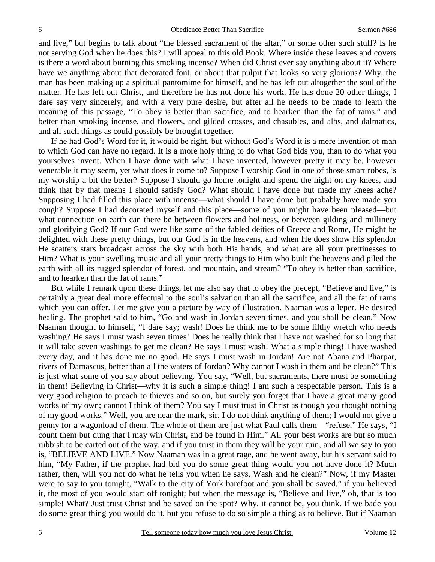and live," but begins to talk about "the blessed sacrament of the altar," or some other such stuff? Is he not serving God when he does this? I will appeal to this old Book. Where inside these leaves and covers is there a word about burning this smoking incense? When did Christ ever say anything about it? Where have we anything about that decorated font, or about that pulpit that looks so very glorious? Why, the man has been making up a spiritual pantomime for himself, and he has left out altogether the soul of the matter. He has left out Christ, and therefore he has not done his work. He has done 20 other things, I dare say very sincerely, and with a very pure desire, but after all he needs to be made to learn the meaning of this passage, "To obey is better than sacrifice, and to hearken than the fat of rams," and better than smoking incense, and flowers, and gilded crosses, and chasubles, and albs, and dalmatics, and all such things as could possibly be brought together.

 If he had God's Word for it, it would be right, but without God's Word it is a mere invention of man to which God can have no regard. It is a more holy thing to do what God bids you, than to do what you yourselves invent. When I have done with what I have invented, however pretty it may be, however venerable it may seem, yet what does it come to? Suppose I worship God in one of those smart robes, is my worship a bit the better? Suppose I should go home tonight and spend the night on my knees, and think that by that means I should satisfy God? What should I have done but made my knees ache? Supposing I had filled this place with incense—what should I have done but probably have made you cough? Suppose I had decorated myself and this place—some of you might have been pleased—but what connection on earth can there be between flowers and holiness, or between gilding and millinery and glorifying God? If our God were like some of the fabled deities of Greece and Rome, He might be delighted with these pretty things, but our God is in the heavens, and when He does show His splendor He scatters stars broadcast across the sky with both His hands, and what are all your prettinesses to Him? What is your swelling music and all your pretty things to Him who built the heavens and piled the earth with all its rugged splendor of forest, and mountain, and stream? "To obey is better than sacrifice, and to hearken than the fat of rams."

 But while I remark upon these things, let me also say that to obey the precept, "Believe and live," is certainly a great deal more effectual to the soul's salvation than all the sacrifice, and all the fat of rams which you can offer. Let me give you a picture by way of illustration. Naaman was a leper. He desired healing. The prophet said to him, "Go and wash in Jordan seven times, and you shall be clean." Now Naaman thought to himself, "I dare say; wash! Does he think me to be some filthy wretch who needs washing? He says I must wash seven times! Does he really think that I have not washed for so long that it will take seven washings to get me clean? He says I must wash! What a simple thing! I have washed every day, and it has done me no good. He says I must wash in Jordan! Are not Abana and Pharpar, rivers of Damascus, better than all the waters of Jordan? Why cannot I wash in them and be clean?" This is just what some of you say about believing. You say, "Well, but sacraments, there must be something in them! Believing in Christ—why it is such a simple thing! I am such a respectable person. This is a very good religion to preach to thieves and so on, but surely you forget that I have a great many good works of my own; cannot I think of them? You say I must trust in Christ as though you thought nothing of my good works." Well, you are near the mark, sir. I do not think anything of them; I would not give a penny for a wagonload of them. The whole of them are just what Paul calls them—"refuse." He says, "I count them but dung that I may win Christ, and be found in Him." All your best works are but so much rubbish to be carted out of the way, and if you trust in them they will be your ruin, and all we say to you is, "BELIEVE AND LIVE." Now Naaman was in a great rage, and he went away, but his servant said to him, "My Father, if the prophet had bid you do some great thing would you not have done it? Much rather, then, will you not do what he tells you when he says, Wash and he clean?" Now, if my Master were to say to you tonight, "Walk to the city of York barefoot and you shall be saved," if you believed it, the most of you would start off tonight; but when the message is, "Believe and live," oh, that is too simple! What? Just trust Christ and be saved on the spot? Why, it cannot be, you think. If we bade you do some great thing you would do it, but you refuse to do so simple a thing as to believe. But if Naaman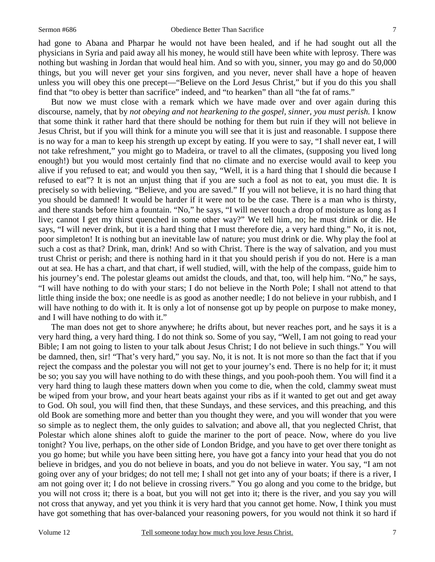had gone to Abana and Pharpar he would not have been healed, and if he had sought out all the physicians in Syria and paid away all his money, he would still have been white with leprosy. There was nothing but washing in Jordan that would heal him. And so with you, sinner, you may go and do 50,000 things, but you will never get your sins forgiven, and you never, never shall have a hope of heaven unless you will obey this one precept—"Believe on the Lord Jesus Christ," but if you do this you shall find that "to obey is better than sacrifice" indeed, and "to hearken" than all "the fat of rams."

 But now we must close with a remark which we have made over and over again during this discourse, namely, that by *not obeying and not hearkening to the gospel, sinner, you must perish*. I know that some think it rather hard that there should be nothing for them but ruin if they will not believe in Jesus Christ, but if you will think for a minute you will see that it is just and reasonable. I suppose there is no way for a man to keep his strength up except by eating. If you were to say, "I shall never eat, I will not take refreshment," you might go to Madeira, or travel to all the climates, (supposing you lived long enough!) but you would most certainly find that no climate and no exercise would avail to keep you alive if you refused to eat; and would you then say, "Well, it is a hard thing that I should die because I refused to eat"? It is not an unjust thing that if you are such a fool as not to eat, you must die. It is precisely so with believing. "Believe, and you are saved." If you will not believe, it is no hard thing that you should be damned! It would be harder if it were not to be the case. There is a man who is thirsty, and there stands before him a fountain. "No," he says, "I will never touch a drop of moisture as long as I live; cannot I get my thirst quenched in some other way?" We tell him, no; he must drink or die. He says, "I will never drink, but it is a hard thing that I must therefore die, a very hard thing." No, it is not, poor simpleton! It is nothing but an inevitable law of nature; you must drink or die. Why play the fool at such a cost as that? Drink, man, drink! And so with Christ. There is the way of salvation, and you must trust Christ or perish; and there is nothing hard in it that you should perish if you do not. Here is a man out at sea. He has a chart, and that chart, if well studied, will, with the help of the compass, guide him to his journey's end. The polestar gleams out amidst the clouds, and that, too, will help him. "No," he says, "I will have nothing to do with your stars; I do not believe in the North Pole; I shall not attend to that little thing inside the box; one needle is as good as another needle; I do not believe in your rubbish, and I will have nothing to do with it. It is only a lot of nonsense got up by people on purpose to make money, and I will have nothing to do with it."

 The man does not get to shore anywhere; he drifts about, but never reaches port, and he says it is a very hard thing, a very hard thing. I do not think so. Some of you say, "Well, I am not going to read your Bible; I am not going to listen to your talk about Jesus Christ; I do not believe in such things." You will be damned, then, sir! "That's very hard," you say. No, it is not. It is not more so than the fact that if you reject the compass and the polestar you will not get to your journey's end. There is no help for it; it must be so; you say you will have nothing to do with these things, and you pooh-pooh them. You will find it a very hard thing to laugh these matters down when you come to die, when the cold, clammy sweat must be wiped from your brow, and your heart beats against your ribs as if it wanted to get out and get away to God. Oh soul, you will find then, that these Sundays, and these services, and this preaching, and this old Book are something more and better than you thought they were, and you will wonder that you were so simple as to neglect them, the only guides to salvation; and above all, that you neglected Christ, that Polestar which alone shines aloft to guide the mariner to the port of peace. Now, where do you live tonight? You live, perhaps, on the other side of London Bridge, and you have to get over there tonight as you go home; but while you have been sitting here, you have got a fancy into your head that you do not believe in bridges, and you do not believe in boats, and you do not believe in water. You say, "I am not going over any of your bridges; do not tell me; I shall not get into any of your boats; if there is a river, I am not going over it; I do not believe in crossing rivers." You go along and you come to the bridge, but you will not cross it; there is a boat, but you will not get into it; there is the river, and you say you will not cross that anyway, and yet you think it is very hard that you cannot get home. Now, I think you must have got something that has over-balanced your reasoning powers, for you would not think it so hard if